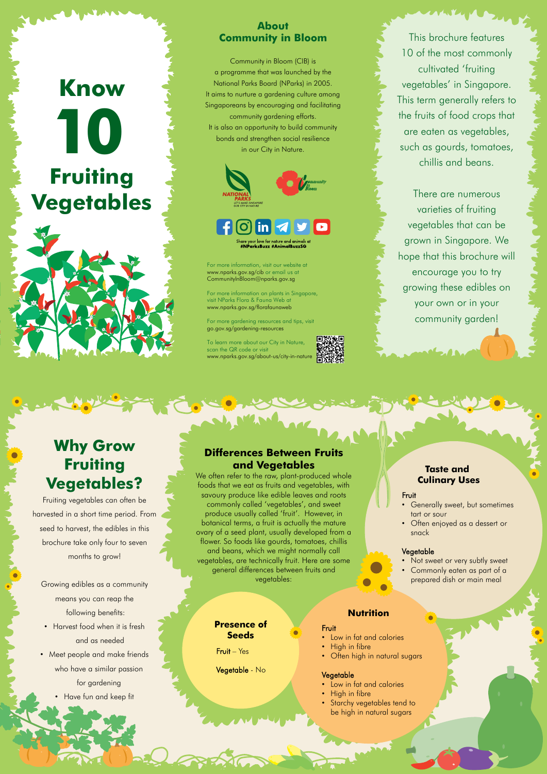This brochure features 10 of the most commonly cultivated 'fruiting vegetables' in Singapore. This term generally refers to the fruits of food crops that are eaten as vegetables, such as gourds, tomatoes, chillis and beans.

# **10 Know Fruiting Vegetables**

There are numerous varieties of fruiting vegetables that can be grown in Singapore. We hope that this brochure will encourage you to try growing these edibles on your own or in your community garden!

### **About Community in Bloom**

Community in Bloom (CIB) is a programme that was launched by the National Parks Board (NParks) in 2005. It aims to nurture a gardening culture among Singaporeans by encouraging and facilitating community gardening efforts. It is also an opportunity to build community bonds and strengthen social resilience in our City in Nature.



## are your love for nature and animals<br>#**NParksBuzz #AnimalBuzzSG**

For more information, visit our website at www.nparks.gov.sg/cib or email us at CommunityInBloom@nparks.gov.sg

For more information on plants in Singapore, visit NParks Flora & Fauna Web at www.nparks.gov.sg/florafaunaweb

- Not sweet or very subtly sweet
- Commonly eaten as part of a prepared dish or main meal

- Low in fat and calories
- High in fibre
- Often high in natural sugars

For more gardening resources and tips, visit go.gov.sg/gardening-resources

To learn more about our City in Nature, scan the QR code or visit www.nparks.gov.sg/about-us/city-in-nature



## **Differences Between Fruits and Vegetables**

- Harvest food when it is fresh and as needed
- Meet people and make friends

We often refer to the raw, plant-produced whole foods that we eat as fruits and vegetables, with savoury produce like edible leaves and roots commonly called 'vegetables', and sweet produce usually called 'fruit'. However, in botanical terms, a fruit is actually the mature ovary of a seed plant, usually developed from a flower. So foods like gourds, tomatoes, chillis and beans, which we might normally call vegetables, are technically fruit. Here are some general differences between fruits and vegetables:

## **Taste and Culinary Uses**

### Fruit

- Generally sweet, but sometimes tart or sour
- Often enjoyed as a dessert or snack

### **Vegetable**



### **Nutrition**

### Fruit

### Vegetable

- Low in fat and calories
- High in fibre
- **Starchy vegetables tend to** be high in natural sugars

## **Presence of Seeds**

Fruit – Yes

Vegetable - No

## **Why Grow Fruiting Vegetables?**

Fruiting vegetables can often be harvested in a short time period. From seed to harvest, the edibles in this brochure take only four to seven months to grow!

Growing edibles as a community means you can reap the following benefits:

who have a similar passion

for gardening

• Have fun and keep fit